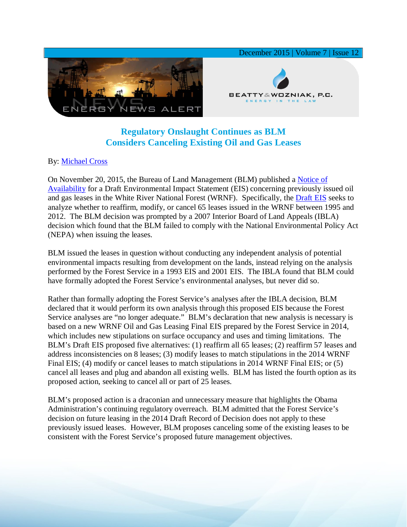

## **Regulatory Onslaught Continues as BLM Considers Canceling Existing Oil and Gas Leases**

## By: [Michael Cross](http://www.bwenergylaw.com/#!mike-cross/cy73)

On November 20, 2015, the Bureau of Land Management (BLM) published a [Notice of](https://www.gpo.gov/fdsys/pkg/FR-2015-11-20/pdf/2015-29717.pdf)  [Availability](https://www.gpo.gov/fdsys/pkg/FR-2015-11-20/pdf/2015-29717.pdf) for a Draft Environmental Impact Statement (EIS) concerning previously issued oil and gas leases in the White River National Forest (WRNF). Specifically, the [Draft EIS](http://www.blm.gov/co/st/en/fo/crvfo/existing_leases_on.html) seeks to analyze whether to reaffirm, modify, or cancel 65 leases issued in the WRNF between 1995 and 2012. The BLM decision was prompted by a 2007 Interior Board of Land Appeals (IBLA) decision which found that the BLM failed to comply with the National Environmental Policy Act (NEPA) when issuing the leases.

BLM issued the leases in question without conducting any independent analysis of potential environmental impacts resulting from development on the lands, instead relying on the analysis performed by the Forest Service in a 1993 EIS and 2001 EIS. The IBLA found that BLM could have formally adopted the Forest Service's environmental analyses, but never did so.

Rather than formally adopting the Forest Service's analyses after the IBLA decision, BLM declared that it would perform its own analysis through this proposed EIS because the Forest Service analyses are "no longer adequate." BLM's declaration that new analysis is necessary is based on a new WRNF Oil and Gas Leasing Final EIS prepared by the Forest Service in 2014, which includes new stipulations on surface occupancy and uses and timing limitations. The BLM's Draft EIS proposed five alternatives: (1) reaffirm all 65 leases; (2) reaffirm 57 leases and address inconsistencies on 8 leases; (3) modify leases to match stipulations in the 2014 WRNF Final EIS; (4) modify or cancel leases to match stipulations in 2014 WRNF Final EIS; or (5) cancel all leases and plug and abandon all existing wells. BLM has listed the fourth option as its proposed action, seeking to cancel all or part of 25 leases.

BLM's proposed action is a draconian and unnecessary measure that highlights the Obama Administration's continuing regulatory overreach. BLM admitted that the Forest Service's decision on future leasing in the 2014 Draft Record of Decision does not apply to these previously issued leases. However, BLM proposes canceling some of the existing leases to be consistent with the Forest Service's proposed future management objectives.